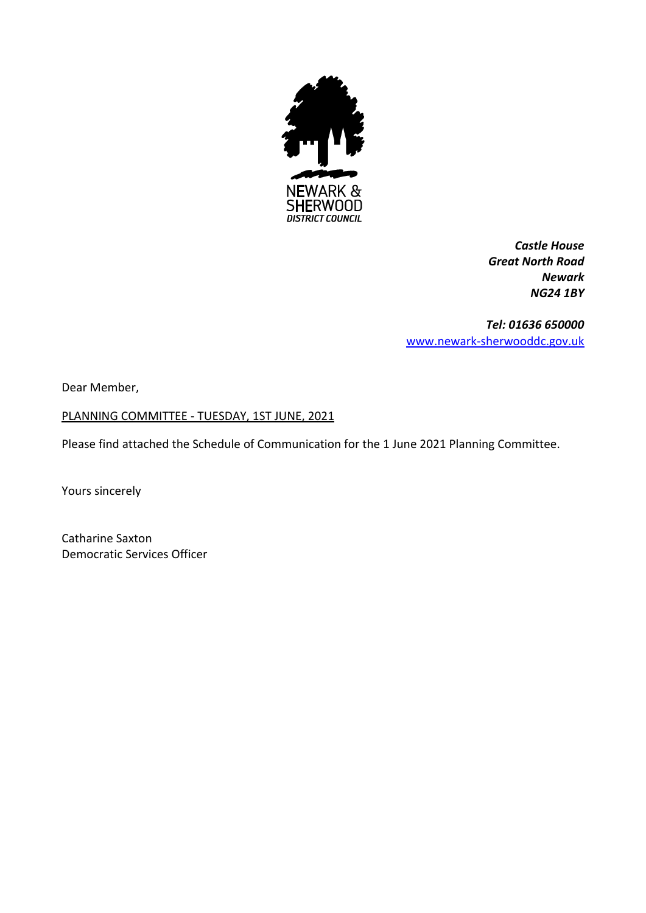

*Castle House Great North Road Newark NG24 1BY*

*Tel: 01636 650000* [www.newark-sherwooddc.gov.uk](http://www.newark-sherwooddc.gov.uk/)

Dear Member,

PLANNING COMMITTEE - TUESDAY, 1ST JUNE, 2021

Please find attached the Schedule of Communication for the 1 June 2021 Planning Committee.

Yours sincerely

Catharine Saxton Democratic Services Officer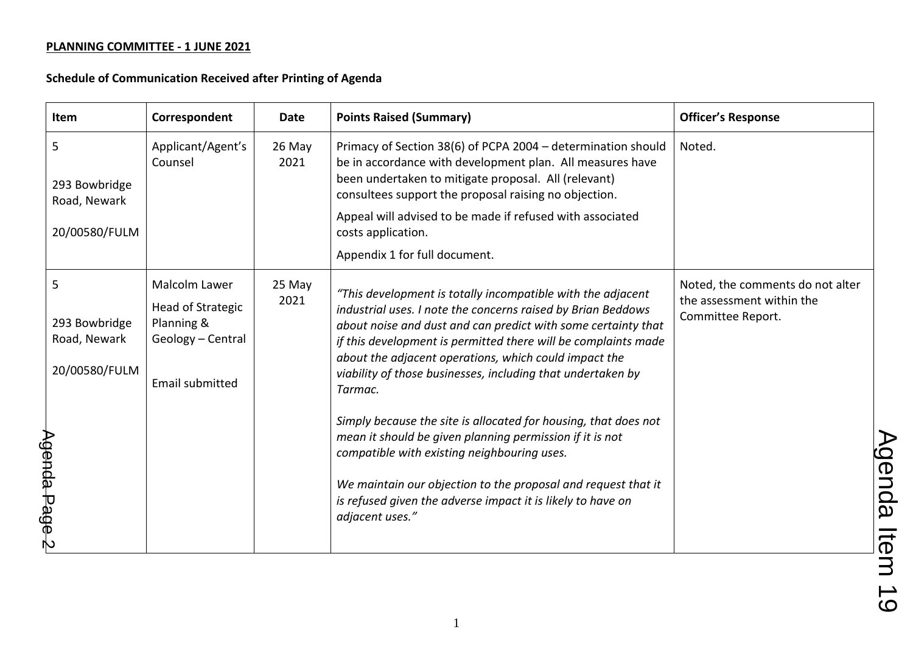| Item                                                | Correspondent                                                                            | <b>Date</b>    | <b>Points Raised (Summary)</b>                                                                                                                                                                                                                                                                                                                                                                    | <b>Officer's Response</b>                                                          |
|-----------------------------------------------------|------------------------------------------------------------------------------------------|----------------|---------------------------------------------------------------------------------------------------------------------------------------------------------------------------------------------------------------------------------------------------------------------------------------------------------------------------------------------------------------------------------------------------|------------------------------------------------------------------------------------|
| 5<br>293 Bowbridge<br>Road, Newark                  | Applicant/Agent's<br>Counsel                                                             | 26 May<br>2021 | Primacy of Section 38(6) of PCPA 2004 - determination should<br>be in accordance with development plan. All measures have<br>been undertaken to mitigate proposal. All (relevant)<br>consultees support the proposal raising no objection.                                                                                                                                                        | Noted.                                                                             |
| 20/00580/FULM                                       |                                                                                          |                | Appeal will advised to be made if refused with associated<br>costs application.                                                                                                                                                                                                                                                                                                                   |                                                                                    |
|                                                     |                                                                                          |                | Appendix 1 for full document.                                                                                                                                                                                                                                                                                                                                                                     |                                                                                    |
| 5<br>293 Bowbridge<br>Road, Newark<br>20/00580/FULM | Malcolm Lawer<br>Head of Strategic<br>Planning &<br>Geology - Central<br>Email submitted | 25 May<br>2021 | "This development is totally incompatible with the adjacent<br>industrial uses. I note the concerns raised by Brian Beddows<br>about noise and dust and can predict with some certainty that<br>if this development is permitted there will be complaints made<br>about the adjacent operations, which could impact the<br>viability of those businesses, including that undertaken by<br>Tarmac. | Noted, the comments do not alter<br>the assessment within the<br>Committee Report. |
|                                                     |                                                                                          |                | Simply because the site is allocated for housing, that does not<br>mean it should be given planning permission if it is not<br>compatible with existing neighbouring uses.                                                                                                                                                                                                                        |                                                                                    |
| $A$ genda Page 2                                    |                                                                                          |                | We maintain our objection to the proposal and request that it<br>is refused given the adverse impact it is likely to have on<br>adjacent uses."                                                                                                                                                                                                                                                   |                                                                                    |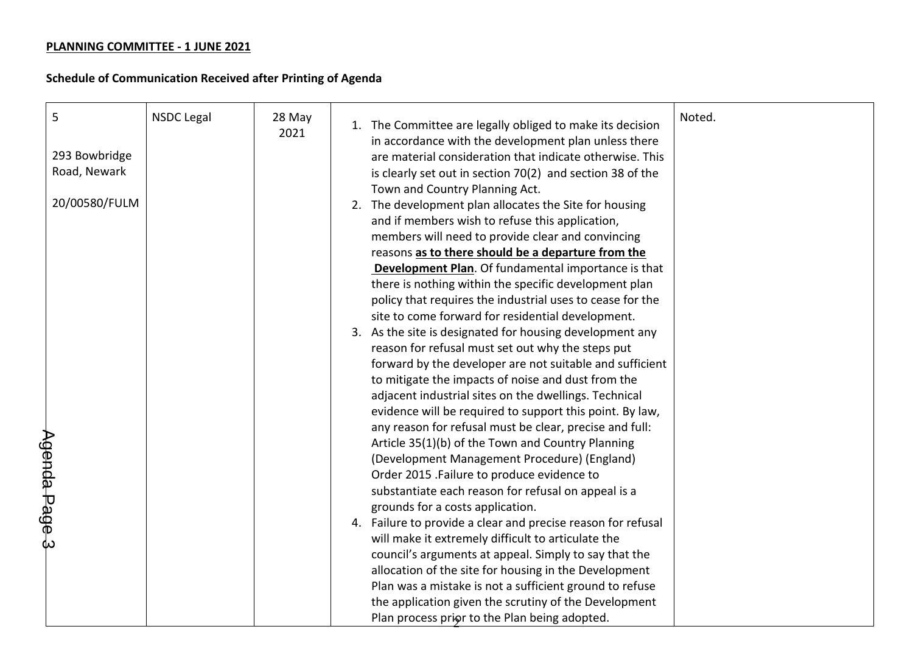| 5             | <b>NSDC Legal</b> | 28 May<br>2021 | Noted.<br>1. The Committee are legally obliged to make its decision<br>in accordance with the development plan unless there |
|---------------|-------------------|----------------|-----------------------------------------------------------------------------------------------------------------------------|
| 293 Bowbridge |                   |                | are material consideration that indicate otherwise. This                                                                    |
| Road, Newark  |                   |                | is clearly set out in section 70(2) and section 38 of the                                                                   |
|               |                   |                | Town and Country Planning Act.                                                                                              |
| 20/00580/FULM |                   |                | 2. The development plan allocates the Site for housing                                                                      |
|               |                   |                | and if members wish to refuse this application,                                                                             |
|               |                   |                | members will need to provide clear and convincing                                                                           |
|               |                   |                | reasons as to there should be a departure from the                                                                          |
|               |                   |                | Development Plan. Of fundamental importance is that                                                                         |
|               |                   |                | there is nothing within the specific development plan                                                                       |
|               |                   |                | policy that requires the industrial uses to cease for the                                                                   |
|               |                   |                | site to come forward for residential development.                                                                           |
|               |                   |                | 3. As the site is designated for housing development any                                                                    |
|               |                   |                | reason for refusal must set out why the steps put                                                                           |
|               |                   |                | forward by the developer are not suitable and sufficient                                                                    |
|               |                   |                | to mitigate the impacts of noise and dust from the                                                                          |
|               |                   |                | adjacent industrial sites on the dwellings. Technical                                                                       |
|               |                   |                | evidence will be required to support this point. By law,                                                                    |
|               |                   |                | any reason for refusal must be clear, precise and full:                                                                     |
|               |                   |                | Article 35(1)(b) of the Town and Country Planning                                                                           |
|               |                   |                | (Development Management Procedure) (England)                                                                                |
|               |                   |                | Order 2015 .Failure to produce evidence to                                                                                  |
|               |                   |                | substantiate each reason for refusal on appeal is a                                                                         |
|               |                   |                | grounds for a costs application.                                                                                            |
|               |                   |                | 4. Failure to provide a clear and precise reason for refusal                                                                |
| Agenda Page 3 |                   |                | will make it extremely difficult to articulate the                                                                          |
|               |                   |                | council's arguments at appeal. Simply to say that the                                                                       |
|               |                   |                | allocation of the site for housing in the Development                                                                       |
|               |                   |                | Plan was a mistake is not a sufficient ground to refuse                                                                     |
|               |                   |                | the application given the scrutiny of the Development                                                                       |
|               |                   |                | Plan process prior to the Plan being adopted.                                                                               |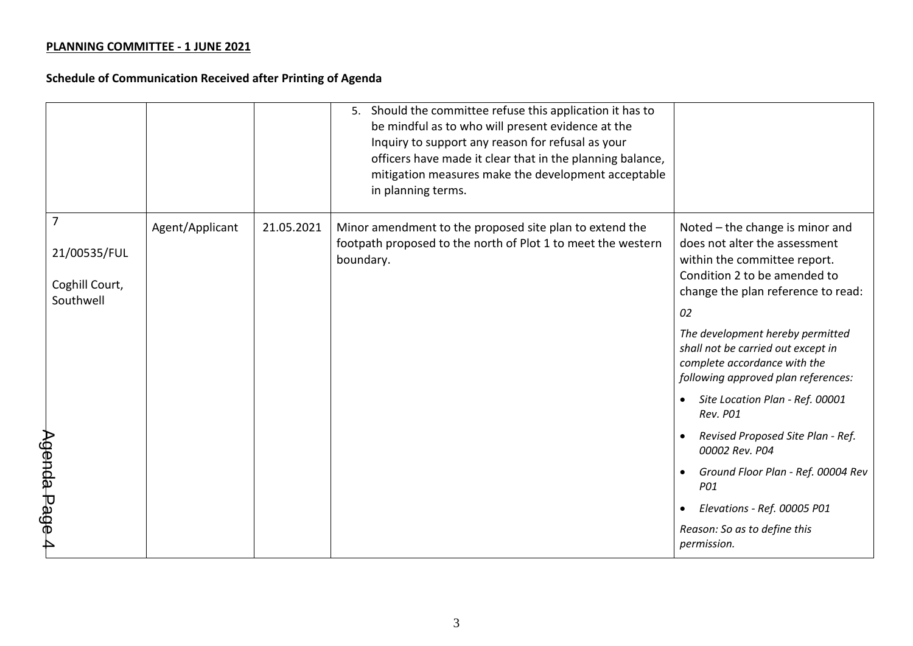|             |                             |                 |            | 5. Should the committee refuse this application it has to<br>be mindful as to who will present evidence at the<br>Inquiry to support any reason for refusal as your<br>officers have made it clear that in the planning balance,<br>mitigation measures make the development acceptable<br>in planning terms. |                                                                                                                                               |
|-------------|-----------------------------|-----------------|------------|---------------------------------------------------------------------------------------------------------------------------------------------------------------------------------------------------------------------------------------------------------------------------------------------------------------|-----------------------------------------------------------------------------------------------------------------------------------------------|
|             | $\overline{7}$              | Agent/Applicant | 21.05.2021 | Minor amendment to the proposed site plan to extend the<br>footpath proposed to the north of Plot 1 to meet the western                                                                                                                                                                                       | Noted – the change is minor and<br>does not alter the assessment                                                                              |
|             | 21/00535/FUL                |                 |            | boundary.                                                                                                                                                                                                                                                                                                     | within the committee report.<br>Condition 2 to be amended to                                                                                  |
|             | Coghill Court,<br>Southwell |                 |            |                                                                                                                                                                                                                                                                                                               | change the plan reference to read:                                                                                                            |
|             |                             |                 |            |                                                                                                                                                                                                                                                                                                               | 02                                                                                                                                            |
|             |                             |                 |            |                                                                                                                                                                                                                                                                                                               | The development hereby permitted<br>shall not be carried out except in<br>complete accordance with the<br>following approved plan references: |
|             |                             |                 |            |                                                                                                                                                                                                                                                                                                               | Site Location Plan - Ref. 00001<br>Rev. P01                                                                                                   |
|             |                             |                 |            |                                                                                                                                                                                                                                                                                                               | Revised Proposed Site Plan - Ref.<br>00002 Rev. P04                                                                                           |
| Agenda Page |                             |                 |            |                                                                                                                                                                                                                                                                                                               | Ground Floor Plan - Ref. 00004 Rev<br>P01                                                                                                     |
|             |                             |                 |            |                                                                                                                                                                                                                                                                                                               | Elevations - Ref. 00005 P01                                                                                                                   |
| 4           |                             |                 |            |                                                                                                                                                                                                                                                                                                               | Reason: So as to define this<br>permission.                                                                                                   |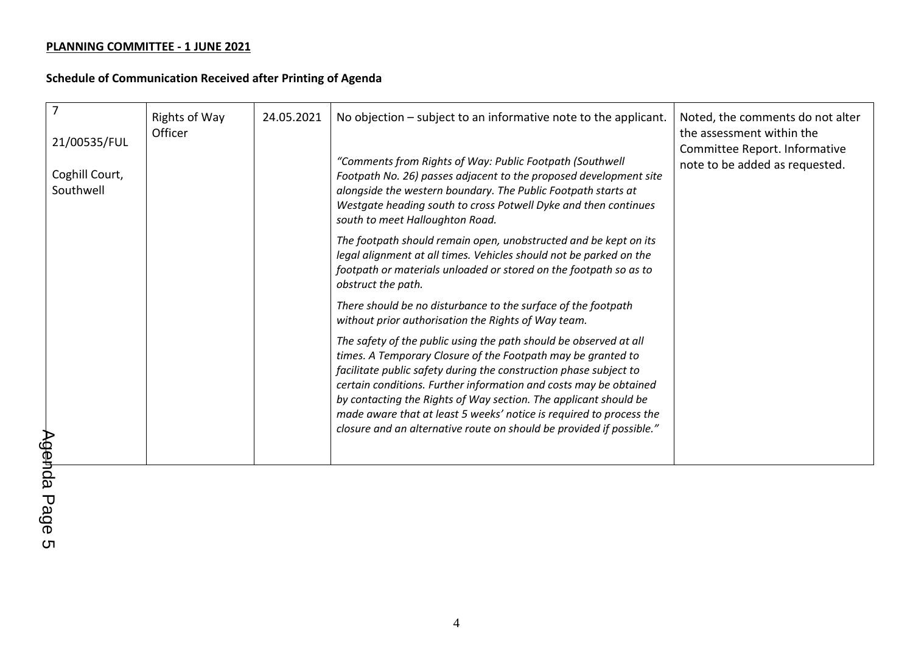| 21/00535/FUL<br>Coghill Court,<br>Southwell | <b>Rights of Way</b><br>Officer | 24.05.2021 | No objection – subject to an informative note to the applicant.<br>"Comments from Rights of Way: Public Footpath (Southwell<br>Footpath No. 26) passes adjacent to the proposed development site<br>alongside the western boundary. The Public Footpath starts at<br>Westgate heading south to cross Potwell Dyke and then continues<br>south to meet Halloughton Road.                                                                                                                        | Noted, the comments do not alter<br>the assessment within the<br>Committee Report. Informative<br>note to be added as requested. |
|---------------------------------------------|---------------------------------|------------|------------------------------------------------------------------------------------------------------------------------------------------------------------------------------------------------------------------------------------------------------------------------------------------------------------------------------------------------------------------------------------------------------------------------------------------------------------------------------------------------|----------------------------------------------------------------------------------------------------------------------------------|
|                                             |                                 |            | The footpath should remain open, unobstructed and be kept on its<br>legal alignment at all times. Vehicles should not be parked on the<br>footpath or materials unloaded or stored on the footpath so as to<br>obstruct the path.                                                                                                                                                                                                                                                              |                                                                                                                                  |
|                                             |                                 |            | There should be no disturbance to the surface of the footpath<br>without prior authorisation the Rights of Way team.                                                                                                                                                                                                                                                                                                                                                                           |                                                                                                                                  |
|                                             |                                 |            | The safety of the public using the path should be observed at all<br>times. A Temporary Closure of the Footpath may be granted to<br>facilitate public safety during the construction phase subject to<br>certain conditions. Further information and costs may be obtained<br>by contacting the Rights of Way section. The applicant should be<br>made aware that at least 5 weeks' notice is required to process the<br>closure and an alternative route on should be provided if possible." |                                                                                                                                  |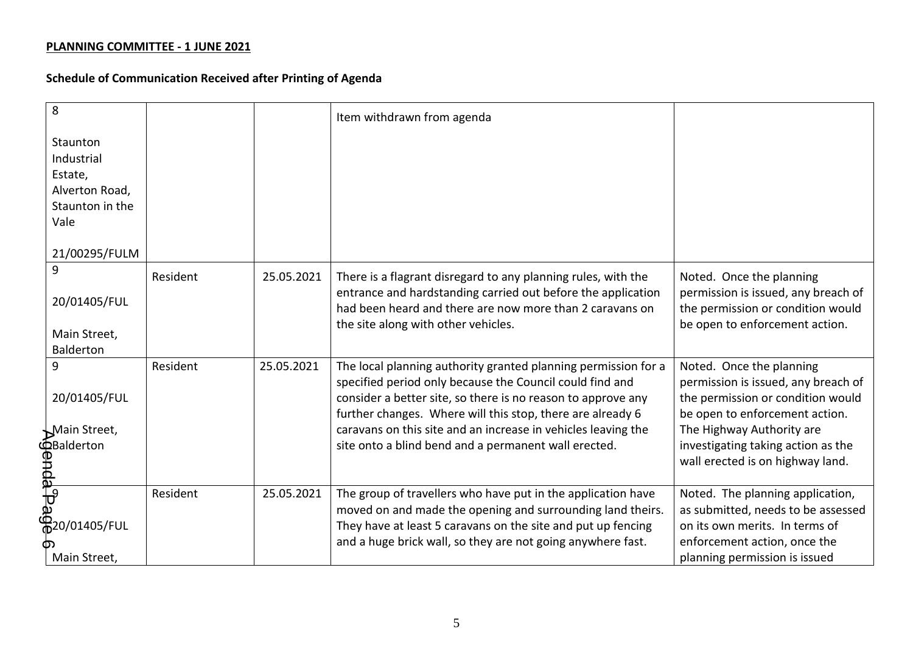| 8                                                                |          |            | Item withdrawn from agenda                                                                                                    |                                                                          |
|------------------------------------------------------------------|----------|------------|-------------------------------------------------------------------------------------------------------------------------------|--------------------------------------------------------------------------|
| Staunton                                                         |          |            |                                                                                                                               |                                                                          |
| Industrial<br>Estate,                                            |          |            |                                                                                                                               |                                                                          |
| Alverton Road,                                                   |          |            |                                                                                                                               |                                                                          |
| Staunton in the                                                  |          |            |                                                                                                                               |                                                                          |
| Vale                                                             |          |            |                                                                                                                               |                                                                          |
| 21/00295/FULM                                                    |          |            |                                                                                                                               |                                                                          |
| 9                                                                | Resident | 25.05.2021 | There is a flagrant disregard to any planning rules, with the<br>entrance and hardstanding carried out before the application | Noted. Once the planning<br>permission is issued, any breach of          |
| 20/01405/FUL                                                     |          |            | had been heard and there are now more than 2 caravans on<br>the site along with other vehicles.                               | the permission or condition would<br>be open to enforcement action.      |
| Main Street,                                                     |          |            |                                                                                                                               |                                                                          |
| Balderton                                                        |          |            |                                                                                                                               |                                                                          |
| 9                                                                | Resident | 25.05.2021 | The local planning authority granted planning permission for a                                                                | Noted. Once the planning                                                 |
| 20/01405/FUL                                                     |          |            | specified period only because the Council could find and<br>consider a better site, so there is no reason to approve any      | permission is issued, any breach of<br>the permission or condition would |
|                                                                  |          |            | further changes. Where will this stop, there are already 6                                                                    | be open to enforcement action.                                           |
| Main Street,                                                     |          |            | caravans on this site and an increase in vehicles leaving the                                                                 | The Highway Authority are                                                |
|                                                                  |          |            | site onto a blind bend and a permanent wall erected.                                                                          | investigating taking action as the                                       |
|                                                                  |          |            |                                                                                                                               | wall erected is on highway land.                                         |
| Examples<br>Balderton<br>Balderton<br>Balderton<br>P20/01405/FUL | Resident | 25.05.2021 | The group of travellers who have put in the application have                                                                  | Noted. The planning application,                                         |
|                                                                  |          |            | moved on and made the opening and surrounding land theirs.                                                                    | as submitted, needs to be assessed                                       |
|                                                                  |          |            | They have at least 5 caravans on the site and put up fencing                                                                  | on its own merits. In terms of                                           |
|                                                                  |          |            | and a huge brick wall, so they are not going anywhere fast.                                                                   | enforcement action, once the                                             |
| Main Street,                                                     |          |            |                                                                                                                               | planning permission is issued                                            |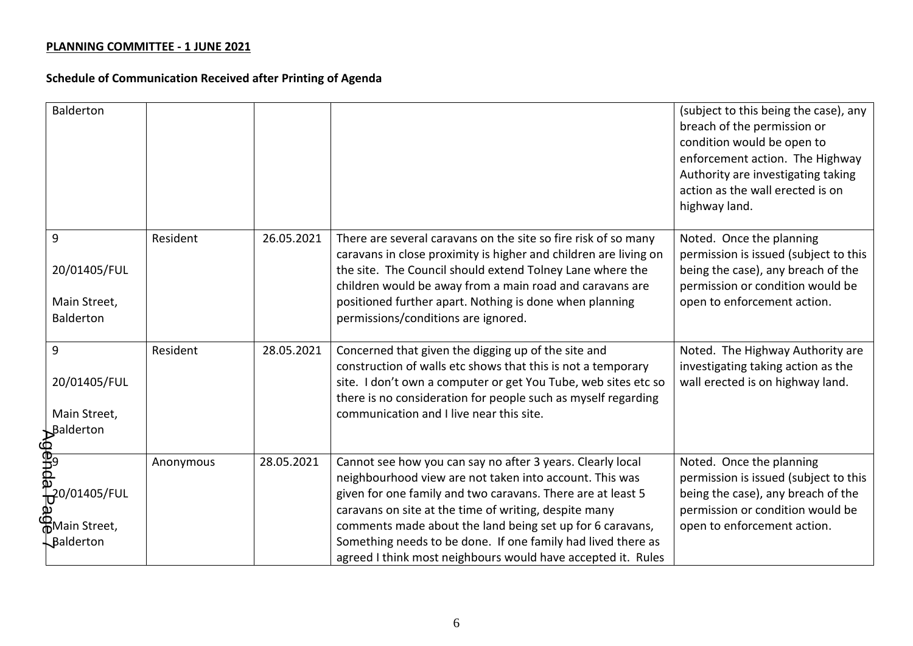| <b>Balderton</b>                                                                          |           |            |                                                                                                                                                                                                                                                                                                                                                                                                                                            | (subject to this being the case), any<br>breach of the permission or<br>condition would be open to<br>enforcement action. The Highway<br>Authority are investigating taking<br>action as the wall erected is on<br>highway land. |
|-------------------------------------------------------------------------------------------|-----------|------------|--------------------------------------------------------------------------------------------------------------------------------------------------------------------------------------------------------------------------------------------------------------------------------------------------------------------------------------------------------------------------------------------------------------------------------------------|----------------------------------------------------------------------------------------------------------------------------------------------------------------------------------------------------------------------------------|
| 9<br>20/01405/FUL<br>Main Street,<br><b>Balderton</b>                                     | Resident  | 26.05.2021 | There are several caravans on the site so fire risk of so many<br>caravans in close proximity is higher and children are living on<br>the site. The Council should extend Tolney Lane where the<br>children would be away from a main road and caravans are<br>positioned further apart. Nothing is done when planning<br>permissions/conditions are ignored.                                                                              | Noted. Once the planning<br>permission is issued (subject to this<br>being the case), any breach of the<br>permission or condition would be<br>open to enforcement action.                                                       |
| 9<br>20/01405/FUL<br>Main Street,<br>Balderton                                            | Resident  | 28.05.2021 | Concerned that given the digging up of the site and<br>construction of walls etc shows that this is not a temporary<br>site. I don't own a computer or get You Tube, web sites etc so<br>there is no consideration for people such as myself regarding<br>communication and I live near this site.                                                                                                                                         | Noted. The Highway Authority are<br>investigating taking action as the<br>wall erected is on highway land.                                                                                                                       |
| <b>ED-1998</b><br>BB9<br><b>DP</b> 0/01405/FUL<br>മ<br><b>A</b> Main Street,<br>Balderton | Anonymous | 28.05.2021 | Cannot see how you can say no after 3 years. Clearly local<br>neighbourhood view are not taken into account. This was<br>given for one family and two caravans. There are at least 5<br>caravans on site at the time of writing, despite many<br>comments made about the land being set up for 6 caravans,<br>Something needs to be done. If one family had lived there as<br>agreed I think most neighbours would have accepted it. Rules | Noted. Once the planning<br>permission is issued (subject to this<br>being the case), any breach of the<br>permission or condition would be<br>open to enforcement action.                                                       |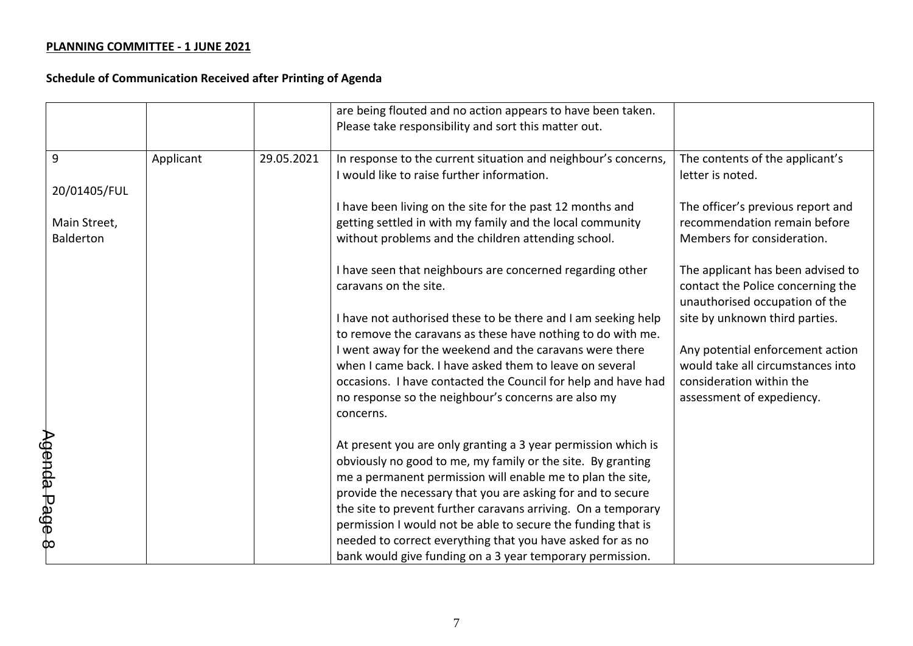|                                                  |           |            | are being flouted and no action appears to have been taken.<br>Please take responsibility and sort this matter out.                                                                                                                                                                                                                                                                                                                                                                                                   |                                                                                                                                |
|--------------------------------------------------|-----------|------------|-----------------------------------------------------------------------------------------------------------------------------------------------------------------------------------------------------------------------------------------------------------------------------------------------------------------------------------------------------------------------------------------------------------------------------------------------------------------------------------------------------------------------|--------------------------------------------------------------------------------------------------------------------------------|
| 9                                                | Applicant | 29.05.2021 | In response to the current situation and neighbour's concerns,<br>I would like to raise further information.                                                                                                                                                                                                                                                                                                                                                                                                          | The contents of the applicant's<br>letter is noted.                                                                            |
| 20/01405/FUL<br>Main Street,<br><b>Balderton</b> |           |            | I have been living on the site for the past 12 months and<br>getting settled in with my family and the local community<br>without problems and the children attending school.                                                                                                                                                                                                                                                                                                                                         | The officer's previous report and<br>recommendation remain before<br>Members for consideration.                                |
|                                                  |           |            | I have seen that neighbours are concerned regarding other<br>caravans on the site.                                                                                                                                                                                                                                                                                                                                                                                                                                    | The applicant has been advised to<br>contact the Police concerning the<br>unauthorised occupation of the                       |
|                                                  |           |            | I have not authorised these to be there and I am seeking help<br>to remove the caravans as these have nothing to do with me.                                                                                                                                                                                                                                                                                                                                                                                          | site by unknown third parties.                                                                                                 |
|                                                  |           |            | I went away for the weekend and the caravans were there<br>when I came back. I have asked them to leave on several<br>occasions. I have contacted the Council for help and have had<br>no response so the neighbour's concerns are also my<br>concerns.                                                                                                                                                                                                                                                               | Any potential enforcement action<br>would take all circumstances into<br>consideration within the<br>assessment of expediency. |
| Agenda Page 8                                    |           |            | At present you are only granting a 3 year permission which is<br>obviously no good to me, my family or the site. By granting<br>me a permanent permission will enable me to plan the site,<br>provide the necessary that you are asking for and to secure<br>the site to prevent further caravans arriving. On a temporary<br>permission I would not be able to secure the funding that is<br>needed to correct everything that you have asked for as no<br>bank would give funding on a 3 year temporary permission. |                                                                                                                                |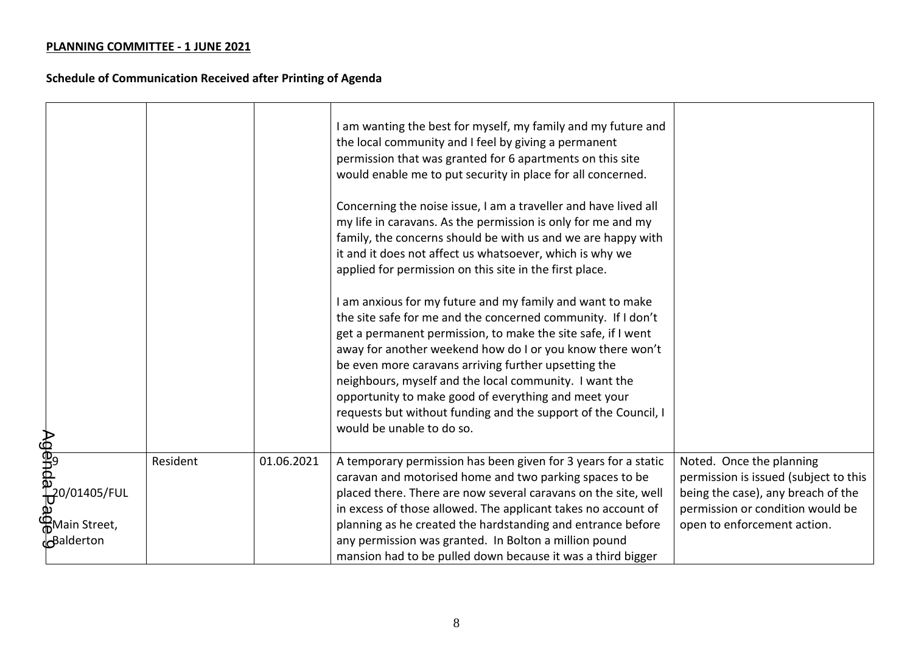|                                    |          |            | am wanting the best for myself, my family and my future and<br>the local community and I feel by giving a permanent<br>permission that was granted for 6 apartments on this site<br>would enable me to put security in place for all concerned.<br>Concerning the noise issue, I am a traveller and have lived all<br>my life in caravans. As the permission is only for me and my<br>family, the concerns should be with us and we are happy with<br>it and it does not affect us whatsoever, which is why we<br>applied for permission on this site in the first place.<br>I am anxious for my future and my family and want to make<br>the site safe for me and the concerned community. If I don't<br>get a permanent permission, to make the site safe, if I went<br>away for another weekend how do I or you know there won't<br>be even more caravans arriving further upsetting the<br>neighbours, myself and the local community. I want the<br>opportunity to make good of everything and meet your<br>requests but without funding and the support of the Council, I<br>would be unable to do so. |                                                                                                                                                                            |
|------------------------------------|----------|------------|--------------------------------------------------------------------------------------------------------------------------------------------------------------------------------------------------------------------------------------------------------------------------------------------------------------------------------------------------------------------------------------------------------------------------------------------------------------------------------------------------------------------------------------------------------------------------------------------------------------------------------------------------------------------------------------------------------------------------------------------------------------------------------------------------------------------------------------------------------------------------------------------------------------------------------------------------------------------------------------------------------------------------------------------------------------------------------------------------------------|----------------------------------------------------------------------------------------------------------------------------------------------------------------------------|
| <b>A</b> Main Street,<br>Balderton | Resident | 01.06.2021 | A temporary permission has been given for 3 years for a static<br>caravan and motorised home and two parking spaces to be<br>placed there. There are now several caravans on the site, well<br>in excess of those allowed. The applicant takes no account of<br>planning as he created the hardstanding and entrance before<br>any permission was granted. In Bolton a million pound                                                                                                                                                                                                                                                                                                                                                                                                                                                                                                                                                                                                                                                                                                                         | Noted. Once the planning<br>permission is issued (subject to this<br>being the case), any breach of the<br>permission or condition would be<br>open to enforcement action. |
|                                    |          |            | mansion had to be pulled down because it was a third bigger                                                                                                                                                                                                                                                                                                                                                                                                                                                                                                                                                                                                                                                                                                                                                                                                                                                                                                                                                                                                                                                  |                                                                                                                                                                            |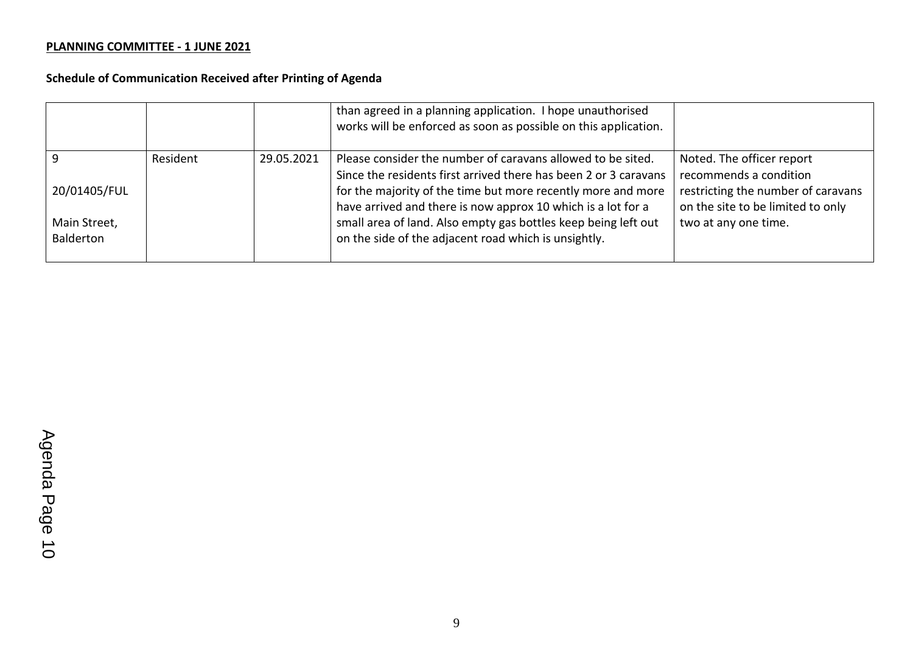|              |          |            | than agreed in a planning application. I hope unauthorised<br>works will be enforced as soon as possible on this application. |                                                                         |
|--------------|----------|------------|-------------------------------------------------------------------------------------------------------------------------------|-------------------------------------------------------------------------|
|              | Resident | 29.05.2021 | Please consider the number of caravans allowed to be sited.                                                                   | Noted. The officer report                                               |
|              |          |            | Since the residents first arrived there has been 2 or 3 caravans                                                              | recommends a condition                                                  |
| 20/01405/FUL |          |            | for the majority of the time but more recently more and more<br>have arrived and there is now approx 10 which is a lot for a  | restricting the number of caravans<br>on the site to be limited to only |
| Main Street, |          |            | small area of land. Also empty gas bottles keep being left out                                                                | two at any one time.                                                    |
| Balderton    |          |            | on the side of the adjacent road which is unsightly.                                                                          |                                                                         |
|              |          |            |                                                                                                                               |                                                                         |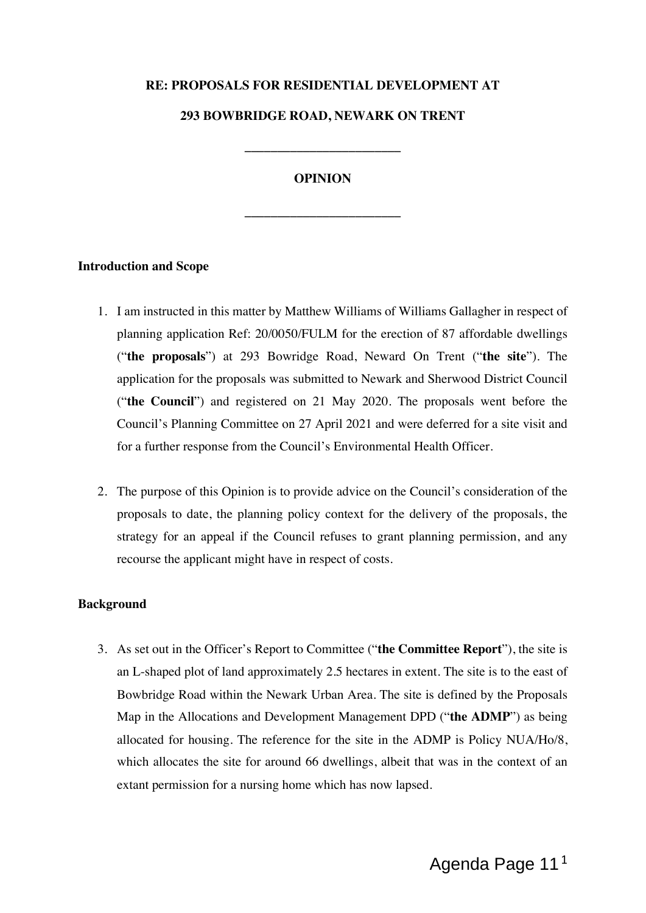### **RE: PROPOSALS FOR RESIDENTIAL DEVELOPMENT AT**

#### **293 BOWBRIDGE ROAD, NEWARK ON TRENT**

**\_\_\_\_\_\_\_\_\_\_\_\_\_\_\_\_\_\_\_\_\_\_\_\_**

### **OPINION**

**\_\_\_\_\_\_\_\_\_\_\_\_\_\_\_\_\_\_\_\_\_\_\_\_**

#### **Introduction and Scope**

- 1. I am instructed in this matter by Matthew Williams of Williams Gallagher in respect of planning application Ref: 20/0050/FULM for the erection of 87 affordable dwellings ("**the proposals**") at 293 Bowridge Road, Neward On Trent ("**the site**"). The application for the proposals was submitted to Newark and Sherwood District Council ("**the Council**") and registered on 21 May 2020. The proposals went before the Council's Planning Committee on 27 April 2021 and were deferred for a site visit and for a further response from the Council's Environmental Health Officer.
- 2. The purpose of this Opinion is to provide advice on the Council's consideration of the proposals to date, the planning policy context for the delivery of the proposals, the strategy for an appeal if the Council refuses to grant planning permission, and any recourse the applicant might have in respect of costs.

#### **Background**

3. As set out in the Officer's Report to Committee ("**the Committee Report**"), the site is an L-shaped plot of land approximately 2.5 hectares in extent. The site is to the east of Bowbridge Road within the Newark Urban Area. The site is defined by the Proposals Map in the Allocations and Development Management DPD ("**the ADMP**") as being allocated for housing. The reference for the site in the ADMP is Policy NUA/Ho/8, which allocates the site for around 66 dwellings, albeit that was in the context of an extant permission for a nursing home which has now lapsed.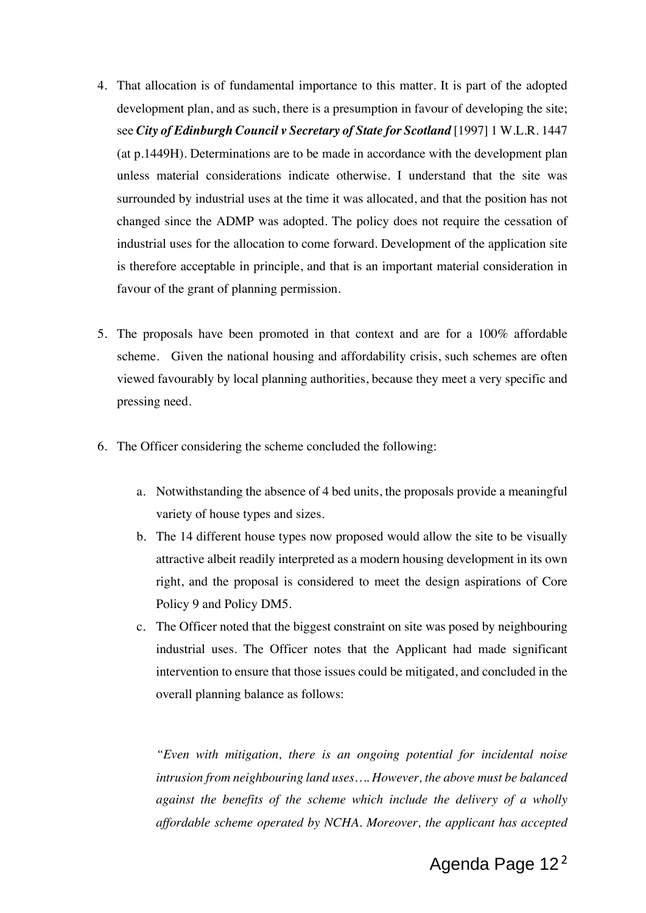- 4. That allocation is of fundamental importance to this matter. It is part of the adopted development plan, and as such, there is a presumption in favour of developing the site; see *City of Edinburgh Council v Secretary of State for Scotland* [1997] 1 W.L.R. 1447 (at p.1449H). Determinations are to be made in accordance with the development plan unless material considerations indicate otherwise. I understand that the site was surrounded by industrial uses at the time it was allocated, and that the position has not changed since the ADMP was adopted. The policy does not require the cessation of industrial uses for the allocation to come forward. Development of the application site is therefore acceptable in principle, and that is an important material consideration in favour of the grant of planning permission.
- 5. The proposals have been promoted in that context and are for a 100% affordable scheme. Given the national housing and affordability crisis, such schemes are often viewed favourably by local planning authorities, because they meet a very specific and pressing need.
- 6. The Officer considering the scheme concluded the following:
	- a. Notwithstanding the absence of 4 bed units, the proposals provide a meaningful variety of house types and sizes.
	- b. The 14 different house types now proposed would allow the site to be visually attractive albeit readily interpreted as a modern housing development in its own right, and the proposal is considered to meet the design aspirations of Core Policy 9 and Policy DM5.
	- c. The Officer noted that the biggest constraint on site was posed by neighbouring industrial uses. The Officer notes that the Applicant had made significant intervention to ensure that those issues could be mitigated, and concluded in the overall planning balance as follows:

*"Even with mitigation, there is an ongoing potential for incidental noise intrusion from neighbouring land uses…. However, the above must be balanced against the benefits of the scheme which include the delivery of a wholly affordable scheme operated by NCHA. Moreover, the applicant has accepted*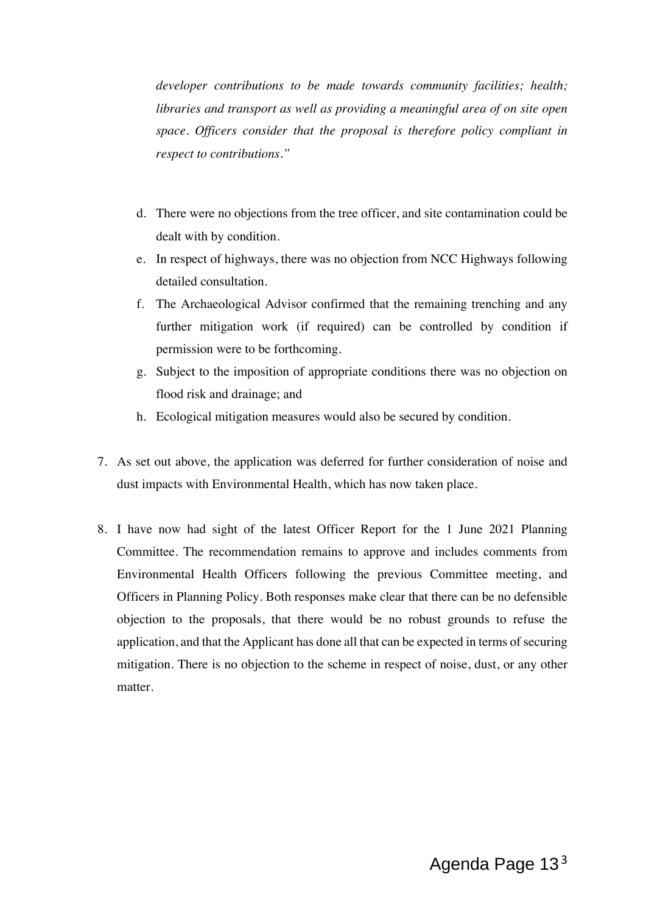*developer contributions to be made towards community facilities; health; libraries and transport as well as providing a meaningful area of on site open space. Officers consider that the proposal is therefore policy compliant in respect to contributions."*

- d. There were no objections from the tree officer, and site contamination could be dealt with by condition.
- e. In respect of highways, there was no objection from NCC Highways following detailed consultation.
- f. The Archaeological Advisor confirmed that the remaining trenching and any further mitigation work (if required) can be controlled by condition if permission were to be forthcoming.
- g. Subject to the imposition of appropriate conditions there was no objection on flood risk and drainage; and
- h. Ecological mitigation measures would also be secured by condition.
- 7. As set out above, the application was deferred for further consideration of noise and dust impacts with Environmental Health, which has now taken place.
- 8. I have now had sight of the latest Officer Report for the 1 June 2021 Planning Committee. The recommendation remains to approve and includes comments from Environmental Health Officers following the previous Committee meeting, and Officers in Planning Policy. Both responses make clear that there can be no defensible objection to the proposals, that there would be no robust grounds to refuse the application, and that the Applicant has done all that can be expected in terms of securing mitigation. There is no objection to the scheme in respect of noise, dust, or any other matter.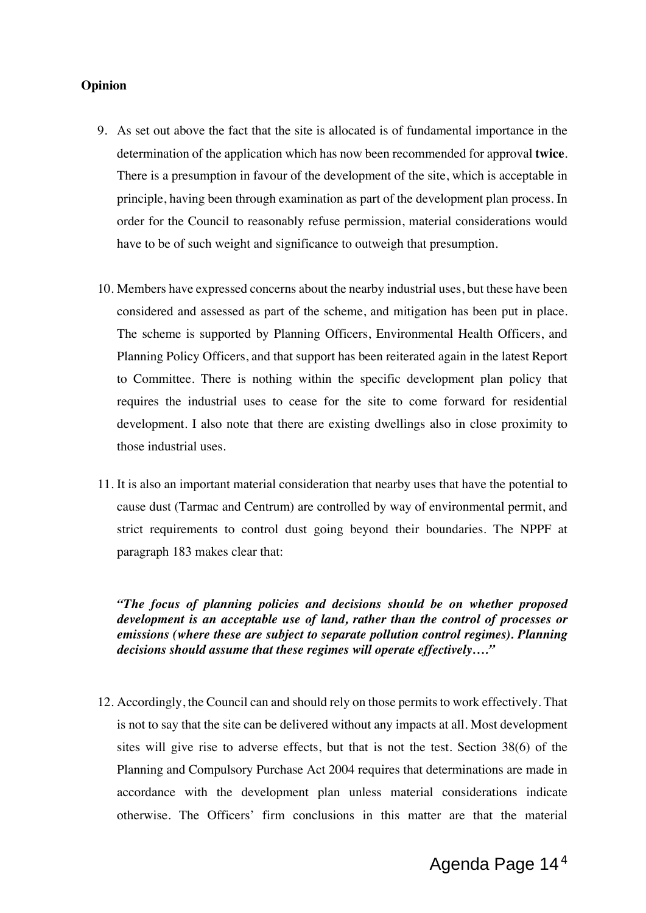#### **Opinion**

- 9. As set out above the fact that the site is allocated is of fundamental importance in the determination of the application which has now been recommended for approval **twice**. There is a presumption in favour of the development of the site, which is acceptable in principle, having been through examination as part of the development plan process. In order for the Council to reasonably refuse permission, material considerations would have to be of such weight and significance to outweigh that presumption.
- 10. Members have expressed concerns about the nearby industrial uses, but these have been considered and assessed as part of the scheme, and mitigation has been put in place. The scheme is supported by Planning Officers, Environmental Health Officers, and Planning Policy Officers, and that support has been reiterated again in the latest Report to Committee. There is nothing within the specific development plan policy that requires the industrial uses to cease for the site to come forward for residential development. I also note that there are existing dwellings also in close proximity to those industrial uses.
- 11. It is also an important material consideration that nearby uses that have the potential to cause dust (Tarmac and Centrum) are controlled by way of environmental permit, and strict requirements to control dust going beyond their boundaries. The NPPF at paragraph 183 makes clear that:

*"The focus of planning policies and decisions should be on whether proposed development is an acceptable use of land, rather than the control of processes or emissions (where these are subject to separate pollution control regimes). Planning decisions should assume that these regimes will operate effectively…."*

12. Accordingly, the Council can and should rely on those permits to work effectively. That is not to say that the site can be delivered without any impacts at all. Most development sites will give rise to adverse effects, but that is not the test. Section 38(6) of the Planning and Compulsory Purchase Act 2004 requires that determinations are made in accordance with the development plan unless material considerations indicate otherwise. The Officers' firm conclusions in this matter are that the material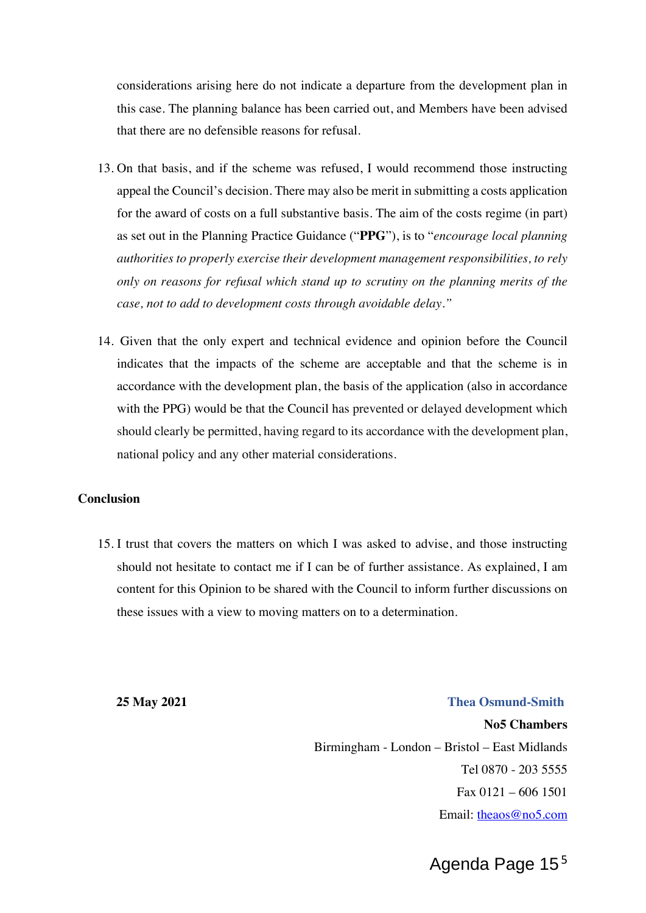considerations arising here do not indicate a departure from the development plan in this case. The planning balance has been carried out, and Members have been advised that there are no defensible reasons for refusal.

- 13. On that basis, and if the scheme was refused, I would recommend those instructing appeal the Council's decision. There may also be merit in submitting a costs application for the award of costs on a full substantive basis. The aim of the costs regime (in part) as set out in the Planning Practice Guidance ("**PPG**"), is to "*encourage local planning authorities to properly exercise their development management responsibilities, to rely only on reasons for refusal which stand up to scrutiny on the planning merits of the case, not to add to development costs through avoidable delay."*
- 14. Given that the only expert and technical evidence and opinion before the Council indicates that the impacts of the scheme are acceptable and that the scheme is in accordance with the development plan, the basis of the application (also in accordance with the PPG) would be that the Council has prevented or delayed development which should clearly be permitted, having regard to its accordance with the development plan, national policy and any other material considerations.

#### **Conclusion**

15. I trust that covers the matters on which I was asked to advise, and those instructing should not hesitate to contact me if I can be of further assistance. As explained, I am content for this Opinion to be shared with the Council to inform further discussions on these issues with a view to moving matters on to a determination.

**25 May 2021 Thea Osmund-Smith**

**No5 Chambers** Birmingham - London – Bristol – East Midlands Tel 0870 - 203 5555 Fax 0121 – 606 1501 Email: theaos@no5.com

Agenda Page 15<sup>5</sup>